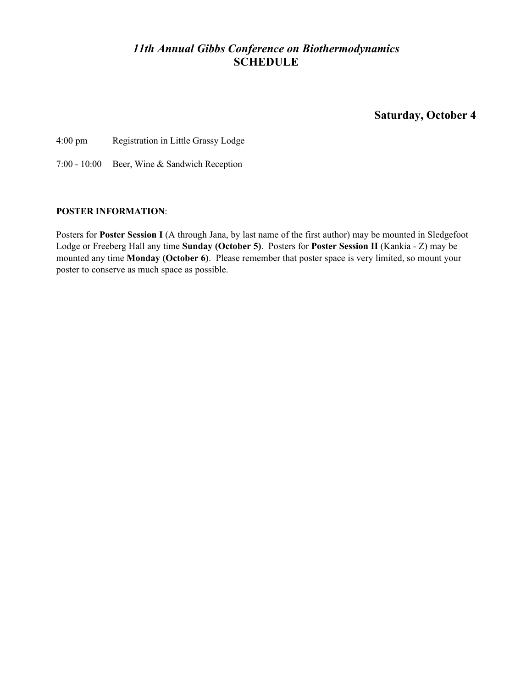# *11th Annual Gibbs Conference on Biothermodynamics* **SCHEDULE**

**Saturday, October 4**

4:00 pm Registration in Little Grassy Lodge

7:00 - 10:00 Beer, Wine & Sandwich Reception

## **POSTER INFORMATION**:

Posters for **Poster Session I** (A through Jana, by last name of the first author) may be mounted in Sledgefoot Lodge or Freeberg Hall any time **Sunday (October 5)**. Posters for **Poster Session II** (Kankia - Z) may be mounted any time **Monday (October 6)**. Please remember that poster space is very limited, so mount your poster to conserve as much space as possible.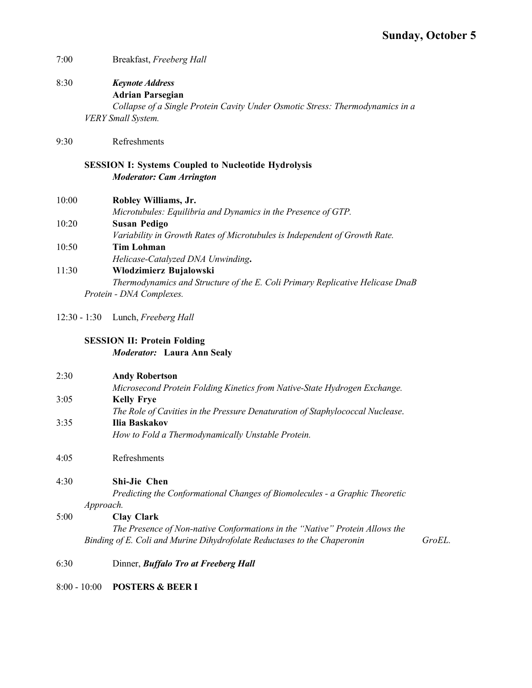- 7:00 Breakfast, *Freeberg Hall*
- 8:30 *Keynote Address* **Adrian Parsegian** *Collapse of a Single Protein Cavity Under Osmotic Stress: Thermodynamics in a VERY Small System.*
- 9:30 Refreshments

## **SESSION I: Systems Coupled to Nucleotide Hydrolysis** *Moderator: Cam Arrington*

| 10:00 | Robley Williams, Jr.                                                       |
|-------|----------------------------------------------------------------------------|
|       | Microtubules: Equilibria and Dynamics in the Presence of GTP.              |
| 10:20 | Susan Pedigo                                                               |
|       | Variability in Growth Rates of Microtubules is Independent of Growth Rate. |
| 10:50 | Tim Lohman                                                                 |
|       | Helicase-Catalyzed DNA Unwinding.                                          |

- *Helicase-Catalyzed DNA Unwinding***.** 11:30 **Wlodzimierz Bujalowski** *Thermodynamics and Structure of the E. Coli Primary Replicative Helicase DnaB Protein - DNA Complexes.*
- 12:30 1:30 Lunch, *Freeberg Hall*

## **SESSION II: Protein Folding** *Moderator:* **Laura Ann Sealy**

| 2:30 | <b>Andy Robertson</b>                                                         |        |
|------|-------------------------------------------------------------------------------|--------|
|      | Microsecond Protein Folding Kinetics from Native-State Hydrogen Exchange.     |        |
| 3:05 | <b>Kelly Frye</b>                                                             |        |
|      | The Role of Cavities in the Pressure Denaturation of Staphylococcal Nuclease. |        |
| 3:35 | Ilia Baskakov                                                                 |        |
|      | How to Fold a Thermodynamically Unstable Protein.                             |        |
| 4:05 | Refreshments                                                                  |        |
| 4:30 | <b>Shi-Jie Chen</b>                                                           |        |
|      | Predicting the Conformational Changes of Biomolecules - a Graphic Theoretic   |        |
|      | Approach.                                                                     |        |
| 5:00 | <b>Clay Clark</b>                                                             |        |
|      | The Presence of Non-native Conformations in the "Native" Protein Allows the   |        |
|      | Binding of E. Coli and Murine Dihydrofolate Reductases to the Chaperonin      | GroEL. |
| 6:30 | Dinner, <i>Buffalo Tro at Freeberg Hall</i>                                   |        |

8:00 - 10:00 **POSTERS & BEER I**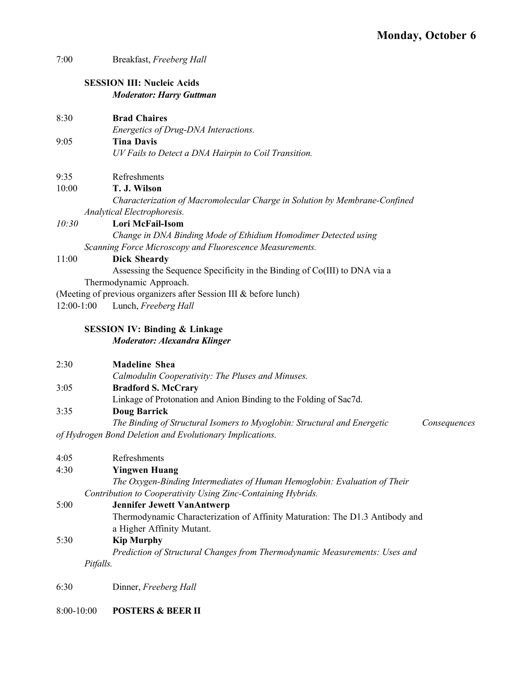| 7:00         | Breakfast, Freeberg Hall                                                                 |
|--------------|------------------------------------------------------------------------------------------|
|              | <b>SESSION III: Nucleic Acids</b><br><b>Moderator: Harry Guttman</b>                     |
|              |                                                                                          |
| 8:30         | <b>Brad Chaires</b>                                                                      |
|              | Energetics of Drug-DNA Interactions.                                                     |
| 9:05         | <b>Tina Davis</b>                                                                        |
|              | UV Fails to Detect a DNA Hairpin to Coil Transition.                                     |
| 9:35         | Refreshments                                                                             |
| 10:00        | T. J. Wilson                                                                             |
|              | Characterization of Macromolecular Charge in Solution by Membrane-Confined               |
|              | Analytical Electrophoresis.                                                              |
| 10:30        | Lori McFail-Isom                                                                         |
|              | Change in DNA Binding Mode of Ethidium Homodimer Detected using                          |
|              | Scanning Force Microscopy and Fluorescence Measurements.                                 |
| 11:00        | <b>Dick Sheardy</b>                                                                      |
|              | Assessing the Sequence Specificity in the Binding of Co(III) to DNA via a                |
|              | Thermodynamic Approach.                                                                  |
|              | (Meeting of previous organizers after Session III & before lunch)                        |
| $12:00-1:00$ | Lunch, Freeberg Hall                                                                     |
|              | <b>SESSION IV: Binding &amp; Linkage</b>                                                 |
|              | <b>Moderator: Alexandra Klinger</b>                                                      |
| 2:30         | <b>Madeline Shea</b>                                                                     |
|              | Calmodulin Cooperativity: The Pluses and Minuses.                                        |
| 3:05         | <b>Bradford S. McCrary</b>                                                               |
|              | Linkage of Protonation and Anion Binding to the Folding of Sac7d.                        |
| 3:35         | <b>Doug Barrick</b>                                                                      |
|              | The Binding of Structural Isomers to Myoglobin: Structural and Energetic<br>Consequences |
|              | of Hydrogen Bond Deletion and Evolutionary Implications.                                 |
| 4:05         | Refreshments                                                                             |
| 4:30         | <b>Yingwen Huang</b>                                                                     |
|              | The Oxygen-Binding Intermediates of Human Hemoglobin: Evaluation of Their                |
|              | Contribution to Cooperativity Using Zinc-Containing Hybrids.                             |
| 5:00         | <b>Jennifer Jewett VanAntwerp</b>                                                        |
|              | Thermodynamic Characterization of Affinity Maturation: The D1.3 Antibody and             |
|              | a Higher Affinity Mutant.                                                                |
| 5:30         | <b>Kip Murphy</b>                                                                        |
|              | Prediction of Structural Changes from Thermodynamic Measurements: Uses and               |
|              | Pitfalls.                                                                                |
| 6:30         | Dinner, Freeberg Hall                                                                    |
|              |                                                                                          |

8:00-10:00 **POSTERS & BEER II**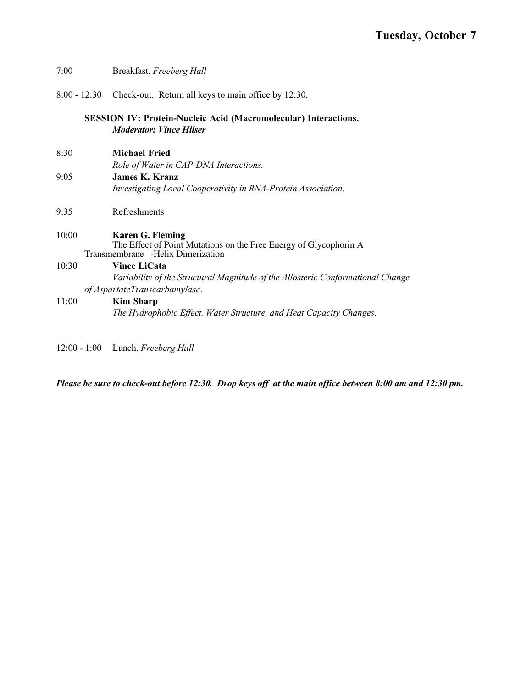| 7:00  | Breakfast, Freeberg Hall                                                                                                          |
|-------|-----------------------------------------------------------------------------------------------------------------------------------|
|       | 8:00 - 12:30 Check-out. Return all keys to main office by 12:30.                                                                  |
|       | <b>SESSION IV: Protein-Nucleic Acid (Macromolecular) Interactions.</b><br><b>Moderator: Vince Hilser</b>                          |
| 8:30  | <b>Michael Fried</b><br>Role of Water in CAP-DNA Interactions.                                                                    |
| 9:05  | <b>James K. Kranz</b><br>Investigating Local Cooperativity in RNA-Protein Association.                                            |
| 9:35  | Refreshments                                                                                                                      |
| 10:00 | <b>Karen G. Fleming</b><br>The Effect of Point Mutations on the Free Energy of Glycophorin A<br>Transmembrane -Helix Dimerization |
| 10:30 | <b>Vince LiCata</b><br>Variability of the Structural Magnitude of the Allosteric Conformational Change                            |
| 11:00 | of AspartateTranscarbamylase.<br><b>Kim Sharp</b>                                                                                 |
|       | The Hydrophobic Effect. Water Structure, and Heat Capacity Changes.                                                               |

12:00 - 1:00 Lunch, *Freeberg Hall*

*Please be sure to check-out before 12:30. Drop keys off at the main office between 8:00 am and 12:30 pm.*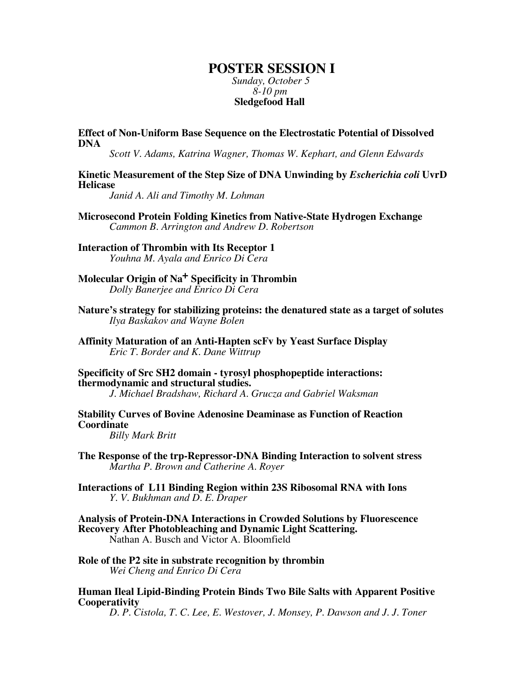## **POSTER SESSION I**

*Sunday, October 5 8-10 pm*  **Sledgefood Hall**

**Effect of Non-Uniform Base Sequence on the Electrostatic Potential of Dissolved DNA**

*Scott V. Adams, Katrina Wagner, Thomas W. Kephart, and Glenn Edwards*

**Kinetic Measurement of the Step Size of DNA Unwinding by** *Escherichia coli* **UvrD Helicase**

*Janid A. Ali and Timothy M. Lohman*

**Microsecond Protein Folding Kinetics from Native-State Hydrogen Exchange** *Cammon B. Arrington and Andrew D. Robertson*

**Interaction of Thrombin with Its Receptor 1** *Youhna M. Ayala and Enrico Di Cera*

**Molecular Origin of Na+ Specificity in Thrombin** *Dolly Banerjee and Enrico Di Cera*

**Nature's strategy for stabilizing proteins: the denatured state as a target of solutes** *Ilya Baskakov and Wayne Bolen*

**Affinity Maturation of an Anti-Hapten scFv by Yeast Surface Display** *Eric T. Border and K. Dane Wittrup*

**Specificity of Src SH2 domain - tyrosyl phosphopeptide interactions: thermodynamic and structural studies.**

*J. Michael Bradshaw, Richard A. Grucza and Gabriel Waksman*

**Stability Curves of Bovine Adenosine Deaminase as Function of Reaction Coordinate**

*Billy Mark Britt*

**The Response of the trp-Repressor-DNA Binding Interaction to solvent stress** *Martha P. Brown and Catherine A. Royer*

**Interactions of L11 Binding Region within 23S Ribosomal RNA with Ions** *Y. V. Bukhman and D. E. Draper*

- **Analysis of Protein-DNA Interactions in Crowded Solutions by Fluorescence Recovery After Photobleaching and Dynamic Light Scattering.** Nathan A. Busch and Victor A. Bloomfield
- **Role of the P2 site in substrate recognition by thrombin** *Wei Cheng and Enrico Di Cera*

**Human Ileal Lipid-Binding Protein Binds Two Bile Salts with Apparent Positive Cooperativity**

*D. P. Cistola, T. C. Lee, E. Westover, J. Monsey, P. Dawson and J. J. Toner*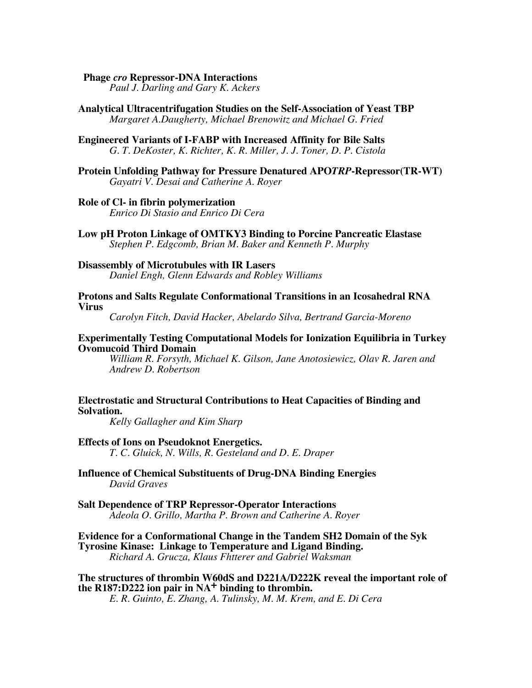#### **Phage** *cro* **Repressor-DNA Interactions**

*Paul J. Darling and Gary K. Ackers*

**Analytical Ultracentrifugation Studies on the Self-Association of Yeast TBP** *Margaret A.Daugherty, Michael Brenowitz and Michael G. Fried*

#### **Engineered Variants of I-FABP with Increased Affinity for Bile Salts** *G. T. DeKoster, K. Richter, K. R. Miller, J. J. Toner, D. P. Cistola*

**Protein Unfolding Pathway for Pressure Denatured APO***TRP***-Repressor(TR-WT)** *Gayatri V. Desai and Catherine A. Royer*

#### **Role of Cl- in fibrin polymerization**

*Enrico Di Stasio and Enrico Di Cera*

**Low pH Proton Linkage of OMTKY3 Binding to Porcine Pancreatic Elastase** *Stephen P. Edgcomb, Brian M. Baker and Kenneth P. Murphy*

#### **Disassembly of Microtubules with IR Lasers** *Daniel Engh, Glenn Edwards and Robley Williams*

#### **Protons and Salts Regulate Conformational Transitions in an Icosahedral RNA Virus**

*Carolyn Fitch, David Hacker, Abelardo Silva, Bertrand Garcia-Moreno*

#### **Experimentally Testing Computational Models for Ionization Equilibria in Turkey Ovomucoid Third Domain**

*William R. Forsyth, Michael K. Gilson, Jane Anotosiewicz, Olav R. Jaren and Andrew D. Robertson*

## **Electrostatic and Structural Contributions to Heat Capacities of Binding and Solvation.**

*Kelly Gallagher and Kim Sharp*

#### **Effects of Ions on Pseudoknot Energetics.**

*T. C. Gluick, N. Wills, R. Gesteland and D. E. Draper*

#### **Influence of Chemical Substituents of Drug-DNA Binding Energies** *David Graves*

#### **Salt Dependence of TRP Repressor-Operator Interactions** *Adeola O. Grillo, Martha P. Brown and Catherine A. Royer*

## **Evidence for a Conformational Change in the Tandem SH2 Domain of the Syk Tyrosine Kinase: Linkage to Temperature and Ligand Binding.** *Richard A. Grucza, Klaus Fhtterer and Gabriel Waksman*

## **The structures of thrombin W60dS and D221A/D222K reveal the important role of** the  $R187:D222$  ion pair in  $NA<sup>+</sup>$  binding to thrombin.

*E. R. Guinto, E. Zhang, A. Tulinsky, M. M. Krem, and E. Di Cera*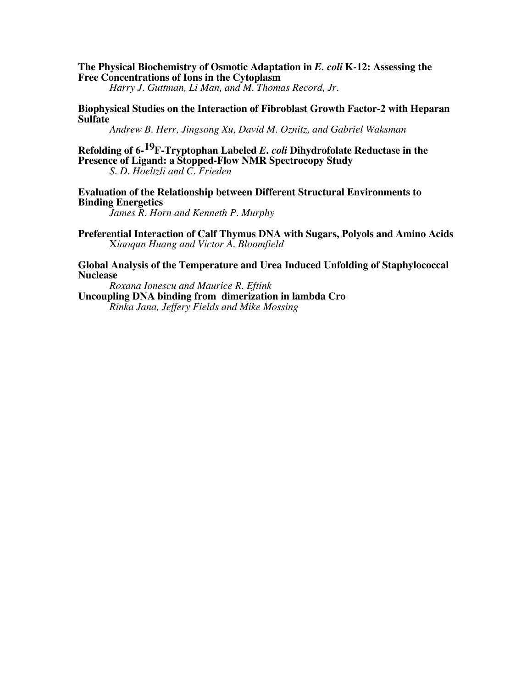## **The Physical Biochemistry of Osmotic Adaptation in** *E. coli* **K-12: Assessing the Free Concentrations of Ions in the Cytoplasm**

*Harry J. Guttman, Li Man, and M. Thomas Record, Jr.*

#### **Biophysical Studies on the Interaction of Fibroblast Growth Factor-2 with Heparan Sulfate**

*Andrew B. Herr, Jingsong Xu, David M. Oznitz, and Gabriel Waksman*

# **Refolding of 6-19F-Tryptophan Labeled** *E. coli* **Dihydrofolate Reductase in the Presence of Ligand: a Stopped-Flow NMR Spectrocopy Study**

*S. D. Hoeltzli and C. Frieden*

## **Evaluation of the Relationship between Different Structural Environments to Binding Energetics**

*James R. Horn and Kenneth P. Murphy*

**Preferential Interaction of Calf Thymus DNA with Sugars, Polyols and Amino Acids** X*iaoqun Huang and Victor A. Bloomfield*

## **Global Analysis of the Temperature and Urea Induced Unfolding of Staphylococcal Nuclease**

*Roxana Ionescu and Maurice R. Eftink* **Uncoupling DNA binding from dimerization in lambda Cro** *Rinka Jana, Jeffery Fields and Mike Mossing*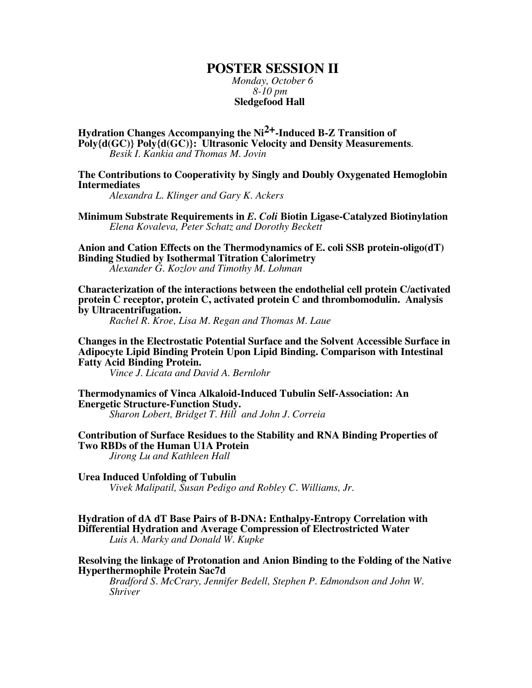# **POSTER SESSION II** *Monday, October 6*

 *8-10 pm*  **Sledgefood Hall**

**Hydration Changes Accompanying the Ni2+-Induced B-Z Transition of Poly{d(GC)} Poly{d(GC)}: Ultrasonic Velocity and Density Measurements**. *Besik I. Kankia and Thomas M. Jovin*

**The Contributions to Cooperativity by Singly and Doubly Oxygenated Hemoglobin Intermediates**

*Alexandra L. Klinger and Gary K. Ackers*

**Minimum Substrate Requirements in** *E. Coli* **Biotin Ligase-Catalyzed Biotinylation** *Elena Kovaleva, Peter Schatz and Dorothy Beckett*

**Anion and Cation Effects on the Thermodynamics of E. coli SSB protein-oligo(dT) Binding Studied by Isothermal Titration Calorimetry** *Alexander G. Kozlov and Timothy M. Lohman*

**Characterization of the interactions between the endothelial cell protein C/activated protein C receptor, protein C, activated protein C and thrombomodulin. Analysis by Ultracentrifugation.**

*Rachel R. Kroe, Lisa M. Regan and Thomas M. Laue*

**Changes in the Electrostatic Potential Surface and the Solvent Accessible Surface in Adipocyte Lipid Binding Protein Upon Lipid Binding. Comparison with Intestinal Fatty Acid Binding Protein.**

*Vince J. Licata and David A. Bernlohr*

**Thermodynamics of Vinca Alkaloid-Induced Tubulin Self-Association: An Energetic Structure-Function Study.**

*Sharon Lobert, Bridget T. Hill and John J. Correia*

**Contribution of Surface Residues to the Stability and RNA Binding Properties of Two RBDs of the Human U1A Protein**

*Jirong Lu and Kathleen Hall*

**Urea Induced Unfolding of Tubulin**

*Vivek Malipatil, Susan Pedigo and Robley C. Williams, Jr*.

**Hydration of dA dT Base Pairs of B-DNA: Enthalpy-Entropy Correlation with Differential Hydration and Average Compression of Electrostricted Water** *Luis A. Marky and Donald W. Kupke*

**Resolving the linkage of Protonation and Anion Binding to the Folding of the Native Hyperthermophile Protein Sac7d**

*Bradford S. McCrary, Jennifer Bedell, Stephen P. Edmondson and John W. Shriver*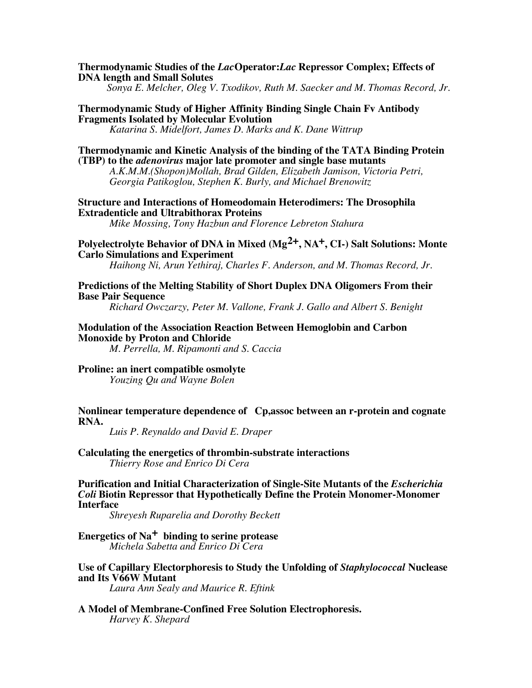#### **Thermodynamic Studies of the** *Lac***Operator:***Lac* **Repressor Complex; Effects of DNA length and Small Solutes**

*Sonya E. Melcher, Oleg V. Txodikov, Ruth M. Saecker and M. Thomas Record, Jr.*

## **Thermodynamic Study of Higher Affinity Binding Single Chain Fv Antibody Fragments Isolated by Molecular Evolution**

*Katarina S. Midelfort, James D. Marks and K. Dane Wittrup*

## **Thermodynamic and Kinetic Analysis of the binding of the TATA Binding Protein (TBP) to the** *adenovirus* **major late promoter and single base mutants**

*A.K.M.M.(Shopon)Mollah, Brad Gilden, Elizabeth Jamison, Victoria Petri, Georgia Patikoglou, Stephen K. Burly, and Michael Brenowitz*

## **Structure and Interactions of Homeodomain Heterodimers: The Drosophila Extradenticle and Ultrabithorax Proteins**

*Mike Mossing, Tony Hazbun and Florence Lebreton Stahura*

## **Polyelectrolyte Behavior of DNA in Mixed (Mg2+, NA+, CI-) Salt Solutions: Monte Carlo Simulations and Experiment**

*Haihong Ni, Arun Yethiraj, Charles F. Anderson, and M. Thomas Record, Jr.*

#### **Predictions of the Melting Stability of Short Duplex DNA Oligomers From their Base Pair Sequence**

*Richard Owczarzy, Peter M. Vallone, Frank J. Gallo and Albert S. Benight*

## **Modulation of the Association Reaction Between Hemoglobin and Carbon Monoxide by Proton and Chloride**

*M. Perrella, M. Ripamonti and S. Caccia*

## **Proline: an inert compatible osmolyte**

*Youzing Qu and Wayne Bolen*

## **Nonlinear temperature dependence of Cp,assoc between an r-protein and cognate RNA.**

*Luis P. Reynaldo and David E. Draper*

## **Calculating the energetics of thrombin-substrate interactions** *Thierry Rose and Enrico Di Cera*

**Purification and Initial Characterization of Single-Site Mutants of the** *Escherichia Coli* **Biotin Repressor that Hypothetically Define the Protein Monomer-Monomer Interface**

*Shreyesh Ruparelia and Dorothy Beckett*

## **Energetics of Na+ binding to serine protease** *Michela Sabetta and Enrico Di Cera*

## **Use of Capillary Electorphoresis to Study the Unfolding of** *Staphylococcal* **Nuclease and Its V66W Mutant**

*Laura Ann Sealy and Maurice R. Eftink*

## **A Model of Membrane-Confined Free Solution Electrophoresis.** *Harvey K. Shepard*